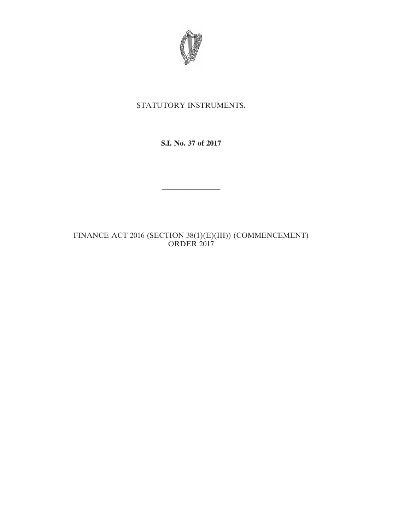

## STATUTORY INSTRUMENTS.

**S.I. No. 37 of 2017**

————————

FINANCE ACT 2016 (SECTION 38(1)(E)(III)) (COMMENCEMENT) ORDER 2017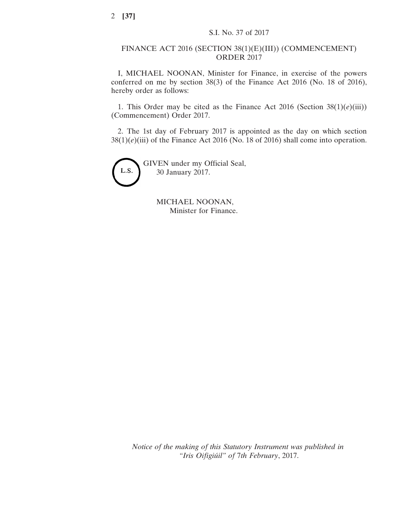## FINANCE ACT 2016 (SECTION 38(1)(E)(III)) (COMMENCEMENT) ORDER 2017

I, MICHAEL NOONAN, Minister for Finance, in exercise of the powers conferred on me by section 38(3) of the Finance Act 2016 (No. 18 of 2016), hereby order as follows:

1. This Order may be cited as the Finance Act 2016 (Section  $38(1)(e)(iii)$ ) (Commencement) Order 2017.

2. The 1st day of February 2017 is appointed as the day on which section 38(1)(*e*)(iii) of the Finance Act 2016 (No. 18 of 2016) shall come into operation.



MICHAEL NOONAN, Minister for Finance.

*Notice of the making of this Statutory Instrument was published in "Iris Oifigiúil" of* 7*th February*, 2017.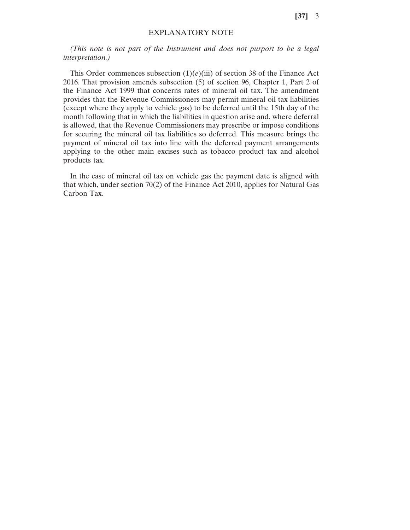**[37]** 3

## EXPLANATORY NOTE

*(This note is not part of the Instrument and does not purport to be a legal interpretation.)*

This Order commences subsection  $(1)(e)(iii)$  of section 38 of the Finance Act 2016. That provision amends subsection (5) of section 96, Chapter 1, Part 2 of the Finance Act 1999 that concerns rates of mineral oil tax. The amendment provides that the Revenue Commissioners may permit mineral oil tax liabilities (except where they apply to vehicle gas) to be deferred until the 15th day of the month following that in which the liabilities in question arise and, where deferral is allowed, that the Revenue Commissioners may prescribe or impose conditions for securing the mineral oil tax liabilities so deferred. This measure brings the payment of mineral oil tax into line with the deferred payment arrangements applying to the other main excises such as tobacco product tax and alcohol products tax.

In the case of mineral oil tax on vehicle gas the payment date is aligned with that which, under section 70(2) of the Finance Act 2010, applies for Natural Gas Carbon Tax.